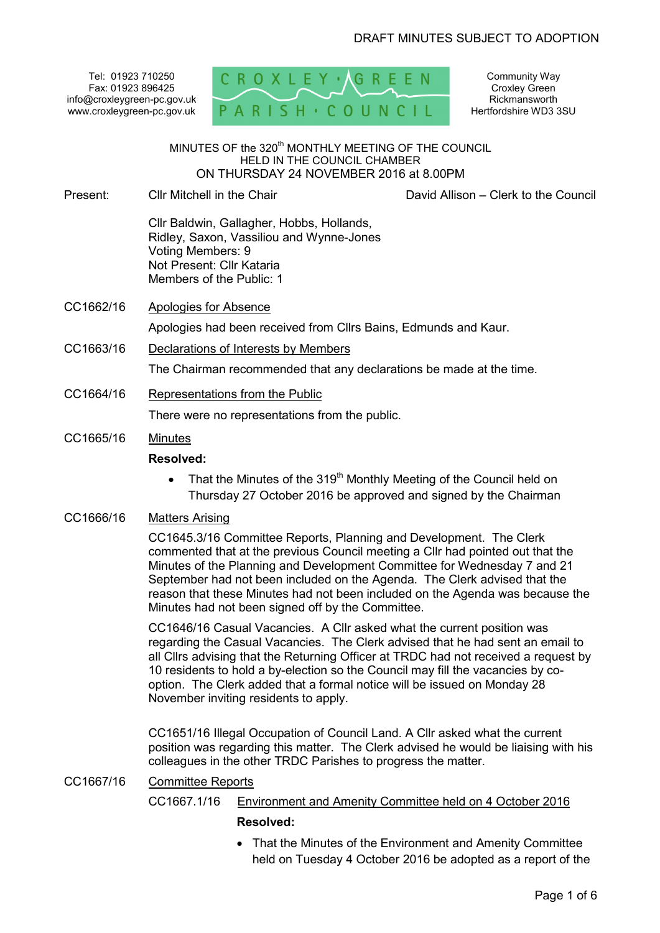Tel: 01923 710250 Fax: 01923 896425 info@croxleygreen-pc.gov.uk www.croxleygreen-pc.gov.uk



Community Way Croxley Green **Rickmansworth** Hertfordshire WD3 3SU

MINUTES OF the 320<sup>th</sup> MONTHLY MEETING OF THE COUNCIL HELD IN THE COUNCIL CHAMBER ON THURSDAY 24 NOVEMBER 2016 at 8.00PM

Present: Cllr Mitchell in the Chair

David Allison – Clerk to the Council

Cllr Baldwin, Gallagher, Hobbs, Hollands, Ridley, Saxon, Vassiliou and Wynne-Jones Voting Members: 9 Not Present: Cllr Kataria Members of the Public: 1

CC1662/16 Apologies for Absence

Apologies had been received from Cllrs Bains, Edmunds and Kaur.

CC1663/16 Declarations of Interests by Members

The Chairman recommended that any declarations be made at the time.

CC1664/16 Representations from the Public

There were no representations from the public.

CC1665/16 Minutes

# **Resolved:**

• That the Minutes of the 319<sup>th</sup> Monthly Meeting of the Council held on Thursday 27 October 2016 be approved and signed by the Chairman

# CC1666/16 Matters Arising

CC1645.3/16 Committee Reports, Planning and Development. The Clerk commented that at the previous Council meeting a Cllr had pointed out that the Minutes of the Planning and Development Committee for Wednesday 7 and 21 September had not been included on the Agenda. The Clerk advised that the reason that these Minutes had not been included on the Agenda was because the Minutes had not been signed off by the Committee.

CC1646/16 Casual Vacancies. A Cllr asked what the current position was regarding the Casual Vacancies. The Clerk advised that he had sent an email to all Cllrs advising that the Returning Officer at TRDC had not received a request by 10 residents to hold a by-election so the Council may fill the vacancies by cooption. The Clerk added that a formal notice will be issued on Monday 28 November inviting residents to apply.

CC1651/16 Illegal Occupation of Council Land. A Cllr asked what the current position was regarding this matter. The Clerk advised he would be liaising with his colleagues in the other TRDC Parishes to progress the matter.

CC1667/16 Committee Reports

# CC1667.1/16 Environment and Amenity Committee held on 4 October 2016 **Resolved:**

• That the Minutes of the Environment and Amenity Committee held on Tuesday 4 October 2016 be adopted as a report of the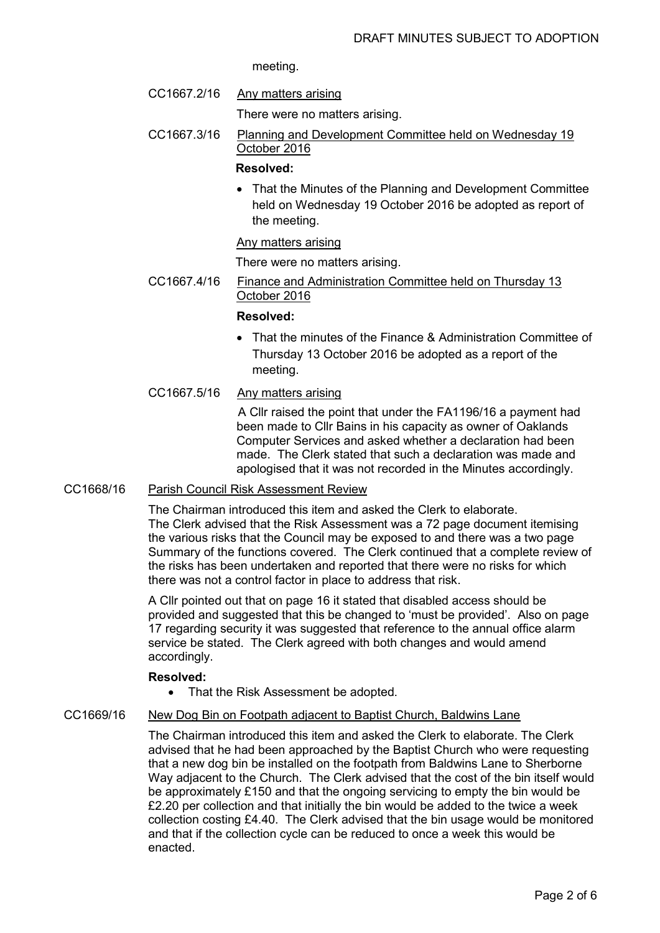meeting.

- CC1667.2/16 Any matters arising
	- There were no matters arising.
- CC1667.3/16 Planning and Development Committee held on Wednesday 19 October 2016

#### **Resolved:**

• That the Minutes of the Planning and Development Committee held on Wednesday 19 October 2016 be adopted as report of the meeting.

#### Any matters arising

There were no matters arising.

CC1667.4/16 Finance and Administration Committee held on Thursday 13 October 2016

#### **Resolved:**

- That the minutes of the Finance & Administration Committee of Thursday 13 October 2016 be adopted as a report of the meeting.
- CC1667.5/16 Any matters arising

 A Cllr raised the point that under the FA1196/16 a payment had been made to Cllr Bains in his capacity as owner of Oaklands Computer Services and asked whether a declaration had been made. The Clerk stated that such a declaration was made and apologised that it was not recorded in the Minutes accordingly.

# CC1668/16 Parish Council Risk Assessment Review

The Chairman introduced this item and asked the Clerk to elaborate. The Clerk advised that the Risk Assessment was a 72 page document itemising the various risks that the Council may be exposed to and there was a two page Summary of the functions covered. The Clerk continued that a complete review of the risks has been undertaken and reported that there were no risks for which there was not a control factor in place to address that risk.

A Cllr pointed out that on page 16 it stated that disabled access should be provided and suggested that this be changed to 'must be provided'. Also on page 17 regarding security it was suggested that reference to the annual office alarm service be stated. The Clerk agreed with both changes and would amend accordingly.

#### **Resolved:**

• That the Risk Assessment be adopted.

#### CC1669/16 New Dog Bin on Footpath adjacent to Baptist Church, Baldwins Lane

The Chairman introduced this item and asked the Clerk to elaborate. The Clerk advised that he had been approached by the Baptist Church who were requesting that a new dog bin be installed on the footpath from Baldwins Lane to Sherborne Way adjacent to the Church. The Clerk advised that the cost of the bin itself would be approximately £150 and that the ongoing servicing to empty the bin would be £2.20 per collection and that initially the bin would be added to the twice a week collection costing £4.40. The Clerk advised that the bin usage would be monitored and that if the collection cycle can be reduced to once a week this would be enacted.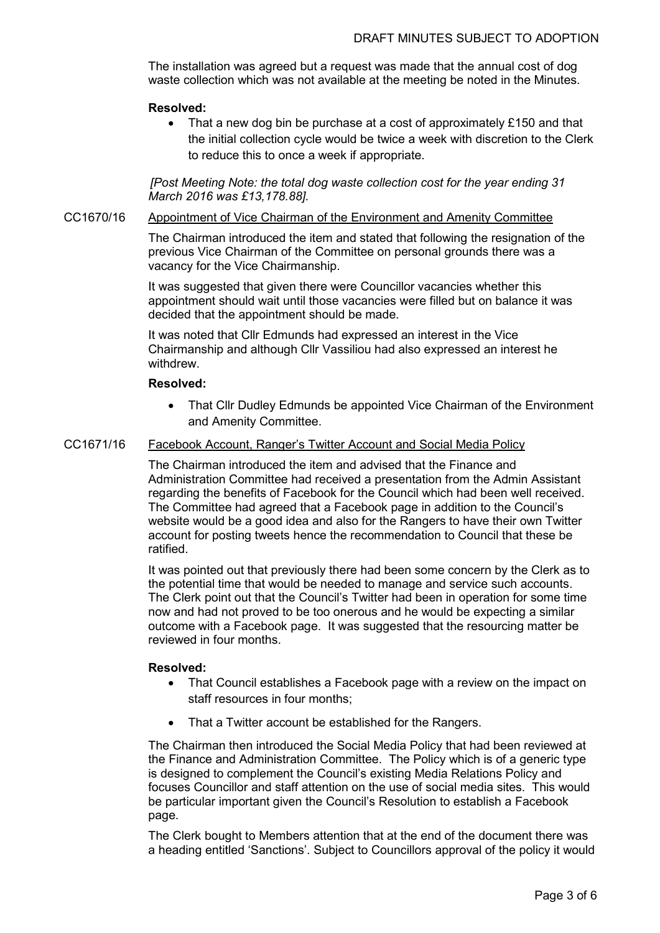The installation was agreed but a request was made that the annual cost of dog waste collection which was not available at the meeting be noted in the Minutes.

#### **Resolved:**

• That a new dog bin be purchase at a cost of approximately £150 and that the initial collection cycle would be twice a week with discretion to the Clerk to reduce this to once a week if appropriate.

*[Post Meeting Note: the total dog waste collection cost for the year ending 31 March 2016 was £13,178.88].* 

## CC1670/16 Appointment of Vice Chairman of the Environment and Amenity Committee

The Chairman introduced the item and stated that following the resignation of the previous Vice Chairman of the Committee on personal grounds there was a vacancy for the Vice Chairmanship.

It was suggested that given there were Councillor vacancies whether this appointment should wait until those vacancies were filled but on balance it was decided that the appointment should be made.

It was noted that Cllr Edmunds had expressed an interest in the Vice Chairmanship and although Cllr Vassiliou had also expressed an interest he withdrew.

# **Resolved:**

• That Cllr Dudley Edmunds be appointed Vice Chairman of the Environment and Amenity Committee.

#### CC1671/16 Facebook Account, Ranger's Twitter Account and Social Media Policy

The Chairman introduced the item and advised that the Finance and Administration Committee had received a presentation from the Admin Assistant regarding the benefits of Facebook for the Council which had been well received. The Committee had agreed that a Facebook page in addition to the Council's website would be a good idea and also for the Rangers to have their own Twitter account for posting tweets hence the recommendation to Council that these be ratified.

It was pointed out that previously there had been some concern by the Clerk as to the potential time that would be needed to manage and service such accounts. The Clerk point out that the Council's Twitter had been in operation for some time now and had not proved to be too onerous and he would be expecting a similar outcome with a Facebook page. It was suggested that the resourcing matter be reviewed in four months.

#### **Resolved:**

- That Council establishes a Facebook page with a review on the impact on staff resources in four months;
- That a Twitter account be established for the Rangers.

The Chairman then introduced the Social Media Policy that had been reviewed at the Finance and Administration Committee. The Policy which is of a generic type is designed to complement the Council's existing Media Relations Policy and focuses Councillor and staff attention on the use of social media sites. This would be particular important given the Council's Resolution to establish a Facebook page.

The Clerk bought to Members attention that at the end of the document there was a heading entitled 'Sanctions'. Subject to Councillors approval of the policy it would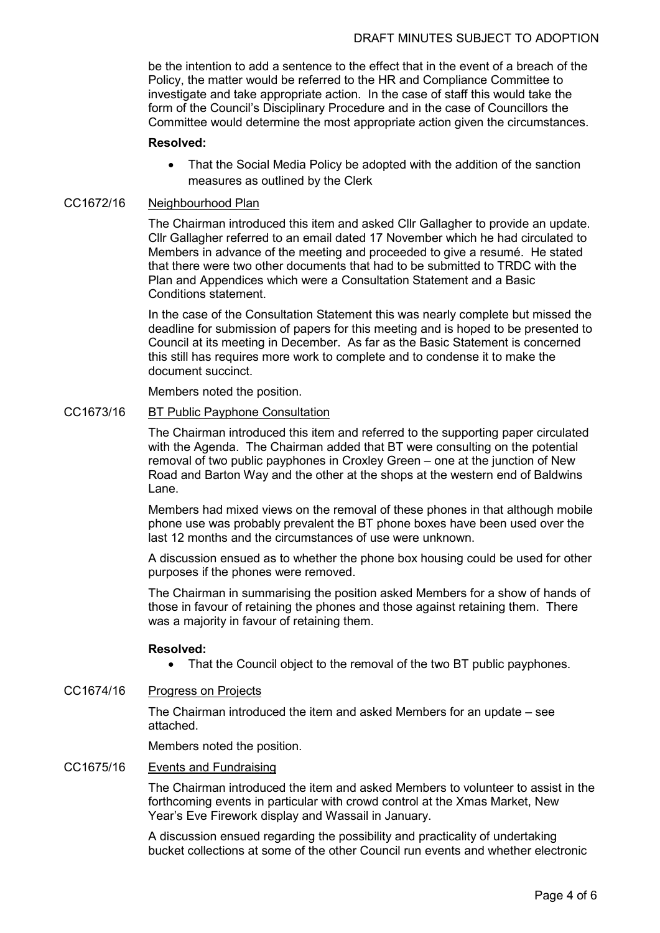be the intention to add a sentence to the effect that in the event of a breach of the Policy, the matter would be referred to the HR and Compliance Committee to investigate and take appropriate action. In the case of staff this would take the form of the Council's Disciplinary Procedure and in the case of Councillors the Committee would determine the most appropriate action given the circumstances.

#### **Resolved:**

• That the Social Media Policy be adopted with the addition of the sanction measures as outlined by the Clerk

# CC1672/16 Neighbourhood Plan

The Chairman introduced this item and asked Cllr Gallagher to provide an update. Cllr Gallagher referred to an email dated 17 November which he had circulated to Members in advance of the meeting and proceeded to give a resumé. He stated that there were two other documents that had to be submitted to TRDC with the Plan and Appendices which were a Consultation Statement and a Basic Conditions statement.

In the case of the Consultation Statement this was nearly complete but missed the deadline for submission of papers for this meeting and is hoped to be presented to Council at its meeting in December. As far as the Basic Statement is concerned this still has requires more work to complete and to condense it to make the document succinct.

Members noted the position.

#### CC1673/16 BT Public Payphone Consultation

The Chairman introduced this item and referred to the supporting paper circulated with the Agenda. The Chairman added that BT were consulting on the potential removal of two public payphones in Croxley Green – one at the junction of New Road and Barton Way and the other at the shops at the western end of Baldwins Lane.

Members had mixed views on the removal of these phones in that although mobile phone use was probably prevalent the BT phone boxes have been used over the last 12 months and the circumstances of use were unknown.

A discussion ensued as to whether the phone box housing could be used for other purposes if the phones were removed.

The Chairman in summarising the position asked Members for a show of hands of those in favour of retaining the phones and those against retaining them. There was a majority in favour of retaining them.

#### **Resolved:**

- That the Council object to the removal of the two BT public payphones.
- CC1674/16 Progress on Projects

The Chairman introduced the item and asked Members for an update – see attached.

Members noted the position.

# CC1675/16 Events and Fundraising

The Chairman introduced the item and asked Members to volunteer to assist in the forthcoming events in particular with crowd control at the Xmas Market, New Year's Eve Firework display and Wassail in January.

A discussion ensued regarding the possibility and practicality of undertaking bucket collections at some of the other Council run events and whether electronic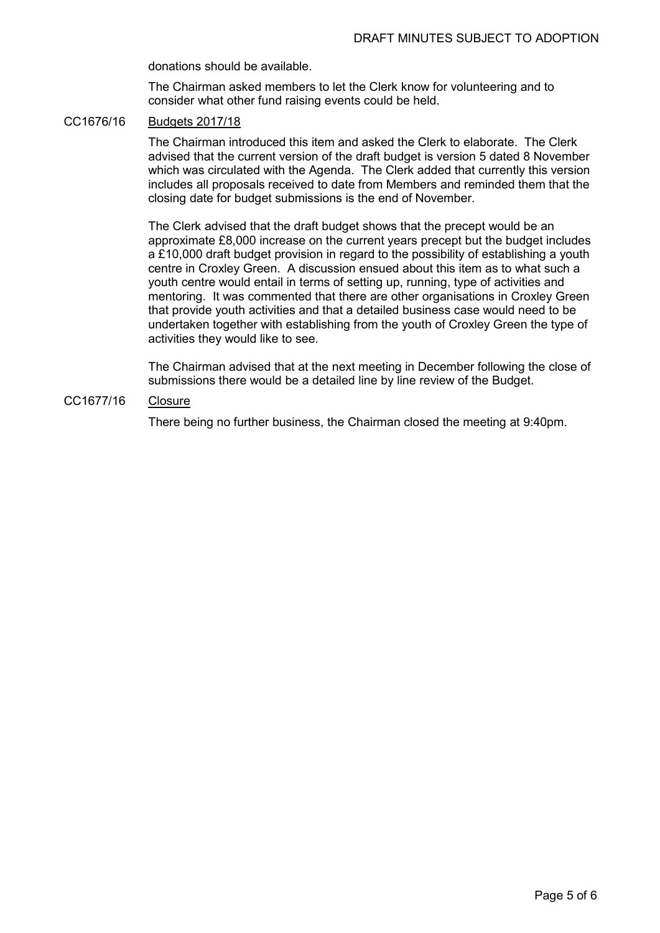donations should be available.

The Chairman asked members to let the Clerk know for volunteering and to consider what other fund raising events could be held.

# CC1676/16 Budgets 2017/18

The Chairman introduced this item and asked the Clerk to elaborate. The Clerk advised that the current version of the draft budget is version 5 dated 8 November which was circulated with the Agenda. The Clerk added that currently this version includes all proposals received to date from Members and reminded them that the closing date for budget submissions is the end of November.

The Clerk advised that the draft budget shows that the precept would be an approximate £8,000 increase on the current years precept but the budget includes a £10,000 draft budget provision in regard to the possibility of establishing a youth centre in Croxley Green. A discussion ensued about this item as to what such a youth centre would entail in terms of setting up, running, type of activities and mentoring. It was commented that there are other organisations in Croxley Green that provide youth activities and that a detailed business case would need to be undertaken together with establishing from the youth of Croxley Green the type of activities they would like to see.

The Chairman advised that at the next meeting in December following the close of submissions there would be a detailed line by line review of the Budget.

# CC1677/16 Closure

There being no further business, the Chairman closed the meeting at 9:40pm.